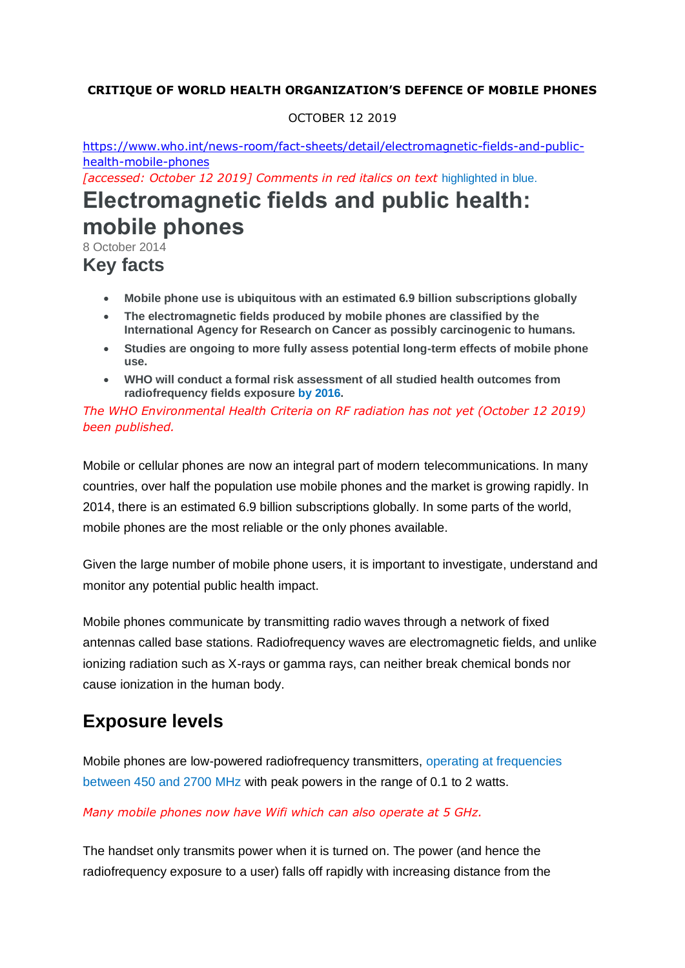#### **CRITIQUE OF WORLD HEALTH ORGANIZATION'S DEFENCE OF MOBILE PHONES**

#### OCTOBER 12 2019

[https://www.who.int/news-room/fact-sheets/detail/electromagnetic-fields-and-public](https://www.who.int/news-room/fact-sheets/detail/electromagnetic-fields-and-public-health-mobile-phones)[health-mobile-phones](https://www.who.int/news-room/fact-sheets/detail/electromagnetic-fields-and-public-health-mobile-phones)

*[accessed: October 12 2019] Comments in red italics on text* highlighted in blue.

# **Electromagnetic fields and public health: mobile phones**

8 October 2014

## **Key facts**

- **Mobile phone use is ubiquitous with an estimated 6.9 billion subscriptions globally**
- **The electromagnetic fields produced by mobile phones are classified by the International Agency for Research on Cancer as possibly carcinogenic to humans.**
- **Studies are ongoing to more fully assess potential long-term effects of mobile phone use.**
- **WHO will conduct a formal risk assessment of all studied health outcomes from radiofrequency fields exposure by 2016.**

*The WHO Environmental Health Criteria on RF radiation has not yet (October 12 2019) been published.*

Mobile or cellular phones are now an integral part of modern telecommunications. In many countries, over half the population use mobile phones and the market is growing rapidly. In 2014, there is an estimated 6.9 billion subscriptions globally. In some parts of the world, mobile phones are the most reliable or the only phones available.

Given the large number of mobile phone users, it is important to investigate, understand and monitor any potential public health impact.

Mobile phones communicate by transmitting radio waves through a network of fixed antennas called base stations. Radiofrequency waves are electromagnetic fields, and unlike ionizing radiation such as X-rays or gamma rays, can neither break chemical bonds nor cause ionization in the human body.

## **Exposure levels**

Mobile phones are low-powered radiofrequency transmitters, operating at frequencies between 450 and 2700 MHz with peak powers in the range of 0.1 to 2 watts.

#### *Many mobile phones now have Wifi which can also operate at 5 GHz.*

The handset only transmits power when it is turned on. The power (and hence the radiofrequency exposure to a user) falls off rapidly with increasing distance from the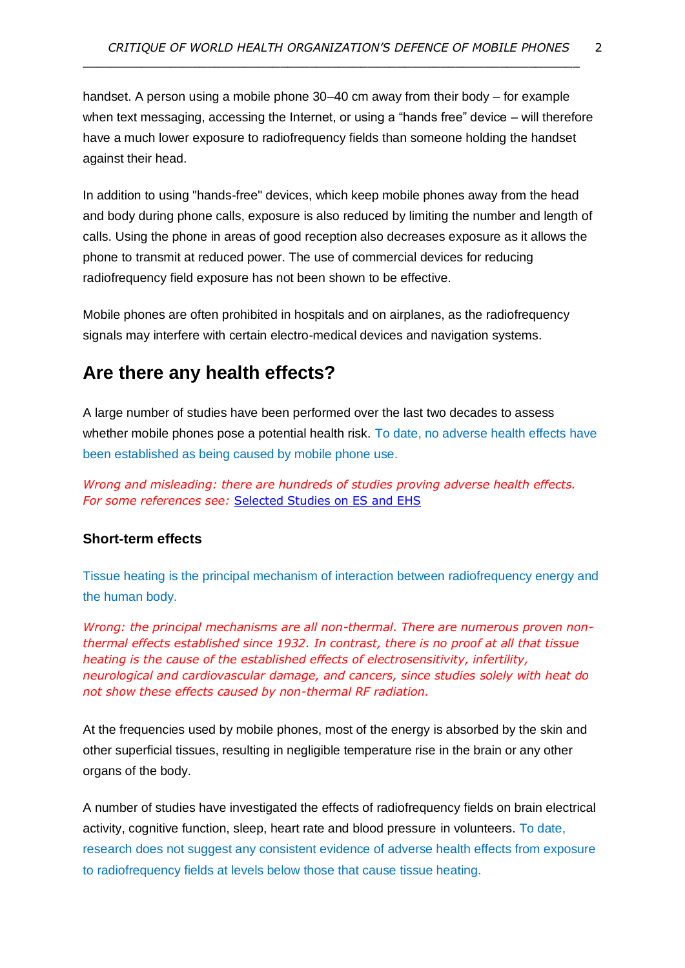handset. A person using a mobile phone 30–40 cm away from their body – for example when text messaging, accessing the Internet, or using a "hands free" device – will therefore have a much lower exposure to radiofrequency fields than someone holding the handset against their head.

 $\_$  , and the set of the set of the set of the set of the set of the set of the set of the set of the set of the set of the set of the set of the set of the set of the set of the set of the set of the set of the set of th

In addition to using "hands-free" devices, which keep mobile phones away from the head and body during phone calls, exposure is also reduced by limiting the number and length of calls. Using the phone in areas of good reception also decreases exposure as it allows the phone to transmit at reduced power. The use of commercial devices for reducing radiofrequency field exposure has not been shown to be effective.

Mobile phones are often prohibited in hospitals and on airplanes, as the radiofrequency signals may interfere with certain electro-medical devices and navigation systems.

## **Are there any health effects?**

A large number of studies have been performed over the last two decades to assess whether mobile phones pose a potential health risk. To date, no adverse health effects have been established as being caused by mobile phone use.

*Wrong and misleading: there are hundreds of studies proving adverse health effects. For some references see:* [Selected Studies on ES and EHS](http://www.es-uk.info/wp-content/uploads/2018/05/Selected%20ES%20and%20EHS%20studies.pdf)

#### **Short-term effects**

Tissue heating is the principal mechanism of interaction between radiofrequency energy and the human body.

*Wrong: the principal mechanisms are all non-thermal. There are numerous proven nonthermal effects established since 1932. In contrast, there is no proof at all that tissue heating is the cause of the established effects of electrosensitivity, infertility, neurological and cardiovascular damage, and cancers, since studies solely with heat do not show these effects caused by non-thermal RF radiation.*

At the frequencies used by mobile phones, most of the energy is absorbed by the skin and other superficial tissues, resulting in negligible temperature rise in the brain or any other organs of the body.

A number of studies have investigated the effects of radiofrequency fields on brain electrical activity, cognitive function, sleep, heart rate and blood pressure in volunteers. To date, research does not suggest any consistent evidence of adverse health effects from exposure to radiofrequency fields at levels below those that cause tissue heating.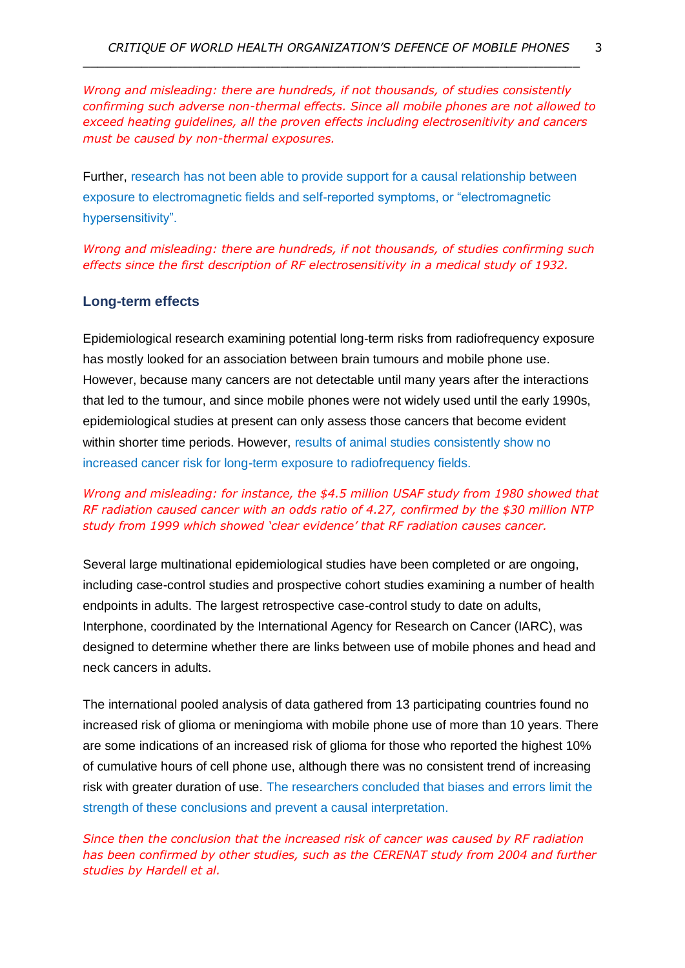*Wrong and misleading: there are hundreds, if not thousands, of studies consistently confirming such adverse non-thermal effects. Since all mobile phones are not allowed to exceed heating guidelines, all the proven effects including electrosenitivity and cancers must be caused by non-thermal exposures.*

 $\_$  , and the set of the set of the set of the set of the set of the set of the set of the set of the set of the set of the set of the set of the set of the set of the set of the set of the set of the set of the set of th

Further, research has not been able to provide support for a causal relationship between exposure to electromagnetic fields and self-reported symptoms, or "electromagnetic hypersensitivity".

*Wrong and misleading: there are hundreds, if not thousands, of studies confirming such effects since the first description of RF electrosensitivity in a medical study of 1932.*

#### **Long-term effects**

Epidemiological research examining potential long-term risks from radiofrequency exposure has mostly looked for an association between brain tumours and mobile phone use. However, because many cancers are not detectable until many years after the interactions that led to the tumour, and since mobile phones were not widely used until the early 1990s, epidemiological studies at present can only assess those cancers that become evident within shorter time periods. However, results of animal studies consistently show no increased cancer risk for long-term exposure to radiofrequency fields.

#### *Wrong and misleading: for instance, the \$4.5 million USAF study from 1980 showed that RF radiation caused cancer with an odds ratio of 4.27, confirmed by the \$30 million NTP study from 1999 which showed 'clear evidence' that RF radiation causes cancer.*

Several large multinational epidemiological studies have been completed or are ongoing, including case-control studies and prospective cohort studies examining a number of health endpoints in adults. The largest retrospective case-control study to date on adults, Interphone, coordinated by the International Agency for Research on Cancer (IARC), was designed to determine whether there are links between use of mobile phones and head and neck cancers in adults.

The international pooled analysis of data gathered from 13 participating countries found no increased risk of glioma or meningioma with mobile phone use of more than 10 years. There are some indications of an increased risk of glioma for those who reported the highest 10% of cumulative hours of cell phone use, although there was no consistent trend of increasing risk with greater duration of use. The researchers concluded that biases and errors limit the strength of these conclusions and prevent a causal interpretation.

*Since then the conclusion that the increased risk of cancer was caused by RF radiation has been confirmed by other studies, such as the CERENAT study from 2004 and further studies by Hardell et al.*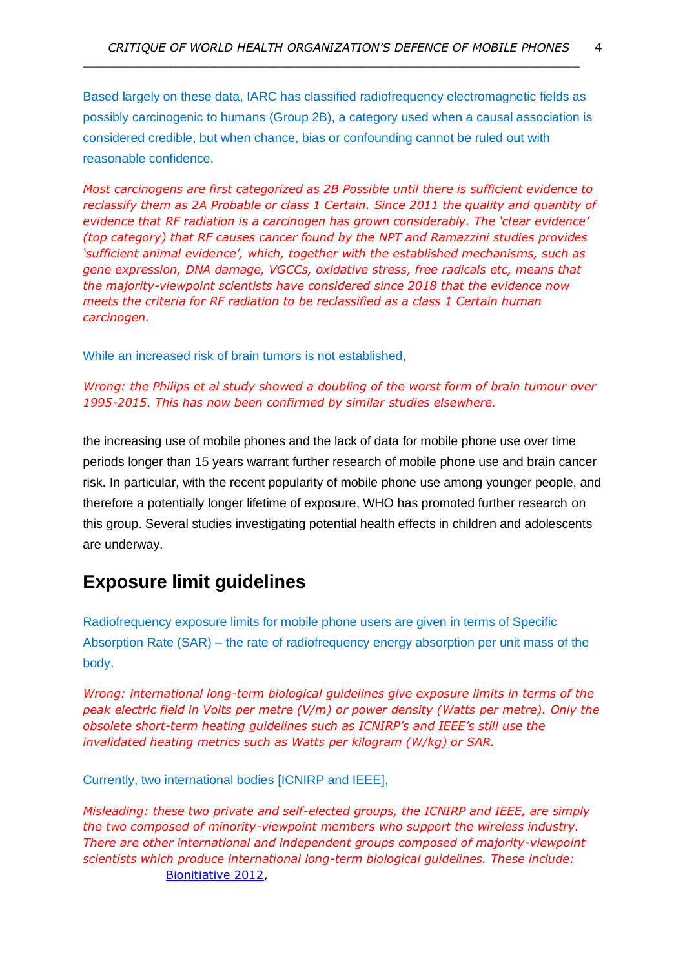Based largely on these data, IARC has classified radiofrequency electromagnetic fields as possibly carcinogenic to humans (Group 2B), a category used when a causal association is considered credible, but when chance, bias or confounding cannot be ruled out with reasonable confidence.

 $\_$  , and the set of the set of the set of the set of the set of the set of the set of the set of the set of the set of the set of the set of the set of the set of the set of the set of the set of the set of the set of th

*Most carcinogens are first categorized as 2B Possible until there is sufficient evidence to reclassify them as 2A Probable or class 1 Certain. Since 2011 the quality and quantity of evidence that RF radiation is a carcinogen has grown considerably. The 'clear evidence' (top category) that RF causes cancer found by the NPT and Ramazzini studies provides 'sufficient animal evidence', which, together with the established mechanisms, such as gene expression, DNA damage, VGCCs, oxidative stress, free radicals etc, means that the majority-viewpoint scientists have considered since 2018 that the evidence now meets the criteria for RF radiation to be reclassified as a class 1 Certain human carcinogen.*

While an increased risk of brain tumors is not established,

*Wrong: the Philips et al study showed a doubling of the worst form of brain tumour over 1995-2015. This has now been confirmed by similar studies elsewhere.*

the increasing use of mobile phones and the lack of data for mobile phone use over time periods longer than 15 years warrant further research of mobile phone use and brain cancer risk. In particular, with the recent popularity of mobile phone use among younger people, and therefore a potentially longer lifetime of exposure, WHO has promoted further research on this group. Several studies investigating potential health effects in children and adolescents are underway.

## **Exposure limit guidelines**

Radiofrequency exposure limits for mobile phone users are given in terms of Specific Absorption Rate (SAR) – the rate of radiofrequency energy absorption per unit mass of the body.

*Wrong: international long-term biological guidelines give exposure limits in terms of the peak electric field in Volts per metre (V/m) or power density (Watts per metre). Only the obsolete short-term heating guidelines such as ICNIRP's and IEEE's still use the invalidated heating metrics such as Watts per kilogram (W/kg) or SAR.*

Currently, two international bodies [ICNIRP and IEEE],

*Misleading: these two private and self-elected groups, the ICNIRP and IEEE, are simply the two composed of minority-viewpoint members who support the wireless industry. There are other international and independent groups composed of majority-viewpoint scientists which produce international long-term biological guidelines. These include:* [Bionitiative 2012,](https://bioinitiative.org/)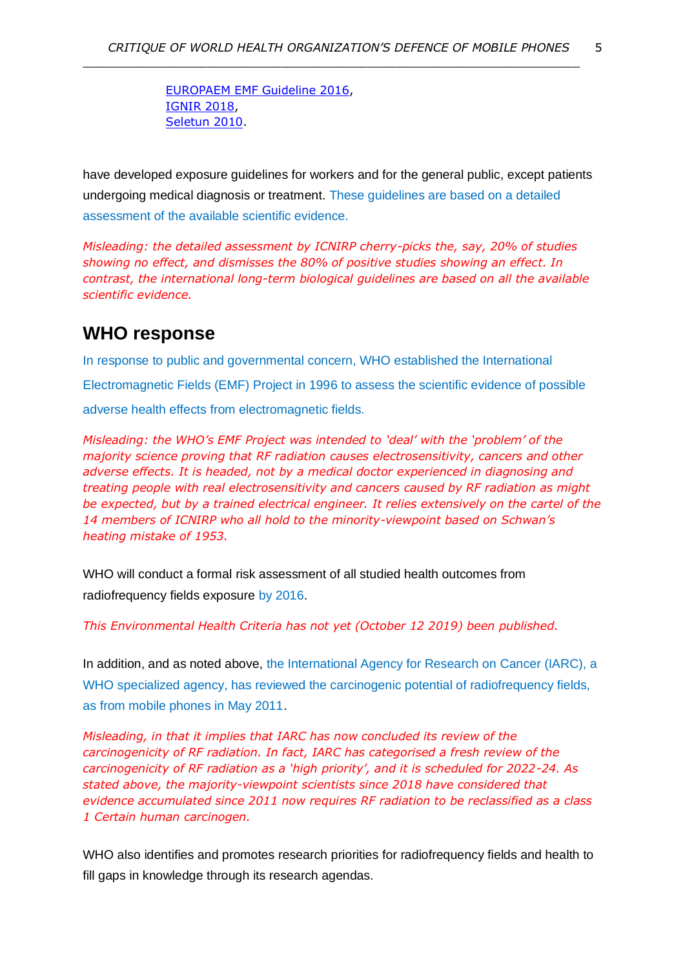$\_$  , and the set of the set of the set of the set of the set of the set of the set of the set of the set of the set of the set of the set of the set of the set of the set of the set of the set of the set of the set of th

[EUROPAEM EMF Guideline 2016,](https://www.degruyter.com/downloadpdf/j/reveh.2016.31.issue-3/reveh-2016-0011/reveh-2016-0011.pdf) [IGNIR 2018,](https://files.persona.co/72583/IGNIR-Guidelines-Issue-1.1-Oct.2018b.pdf) [Seletun 2010.](http://electromagnetichealth.org/wp-content/uploads/2010/12/The-Seletun-Scientific-Statement1.pdf)

have developed exposure guidelines for workers and for the general public, except patients undergoing medical diagnosis or treatment. These guidelines are based on a detailed assessment of the available scientific evidence.

*Misleading: the detailed assessment by ICNIRP cherry-picks the, say, 20% of studies showing no effect, and dismisses the 80% of positive studies showing an effect. In contrast, the international long-term biological guidelines are based on all the available scientific evidence.*

### **WHO response**

In response to public and governmental concern, WHO established the International Electromagnetic Fields (EMF) Project in 1996 to assess the scientific evidence of possible adverse health effects from electromagnetic fields.

*Misleading: the WHO's EMF Project was intended to 'deal' with the 'problem' of the majority science proving that RF radiation causes electrosensitivity, cancers and other adverse effects. It is headed, not by a medical doctor experienced in diagnosing and treating people with real electrosensitivity and cancers caused by RF radiation as might be expected, but by a trained electrical engineer. It relies extensively on the cartel of the 14 members of ICNIRP who all hold to the minority-viewpoint based on Schwan's heating mistake of 1953.*

WHO will conduct a formal risk assessment of all studied health outcomes from radiofrequency fields exposure by 2016.

*This Environmental Health Criteria has not yet (October 12 2019) been published.*

In addition, and as noted above, the International Agency for Research on Cancer (IARC), a WHO specialized agency, has reviewed the carcinogenic potential of radiofrequency fields, as from mobile phones in May 2011.

*Misleading, in that it implies that IARC has now concluded its review of the carcinogenicity of RF radiation. In fact, IARC has categorised a fresh review of the carcinogenicity of RF radiation as a 'high priority', and it is scheduled for 2022-24. As stated above, the majority-viewpoint scientists since 2018 have considered that evidence accumulated since 2011 now requires RF radiation to be reclassified as a class 1 Certain human carcinogen.*

WHO also identifies and promotes research priorities for radiofrequency fields and health to fill gaps in knowledge through its research agendas.